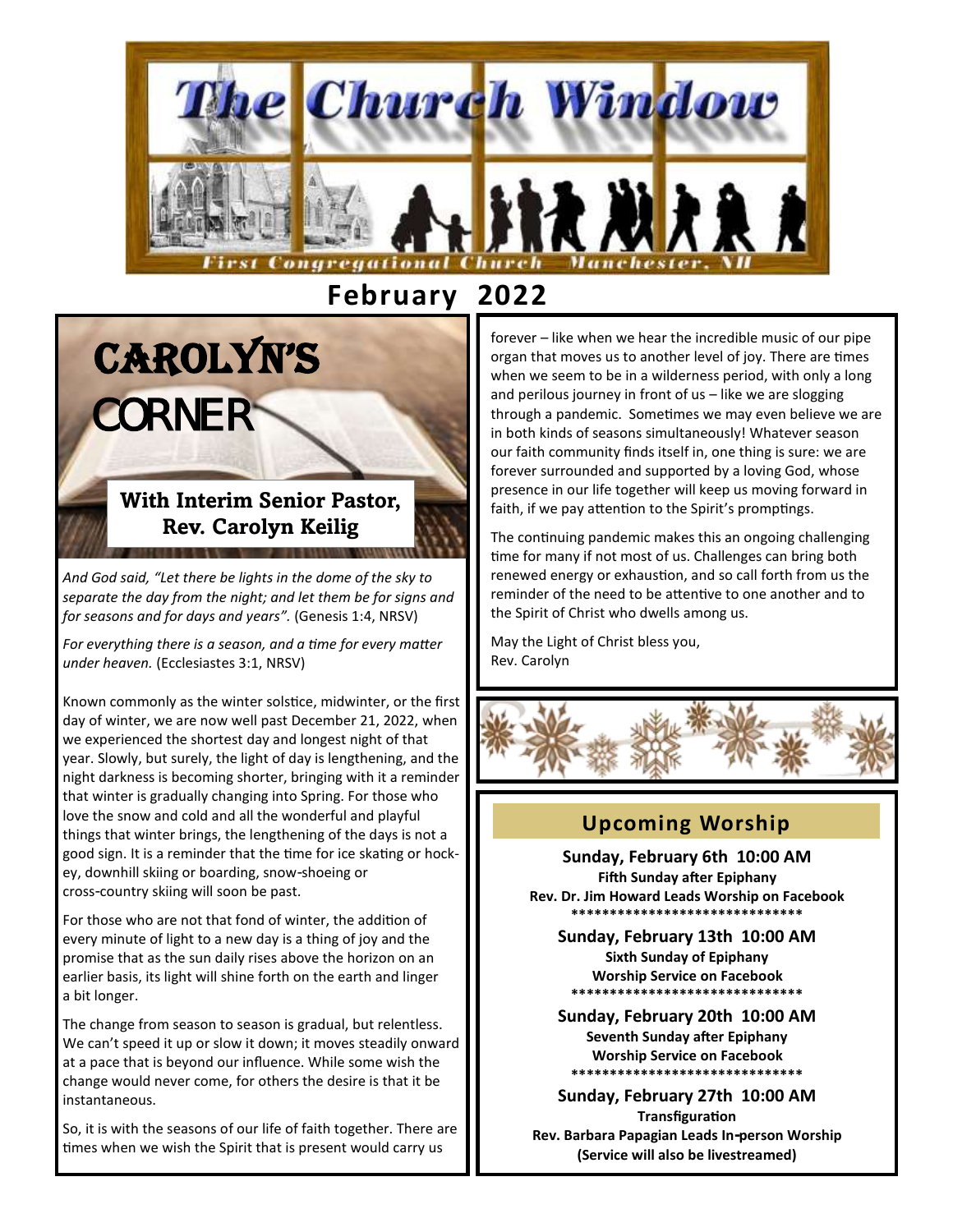

 **February 2022**

# **With Interim Senior Pastor, Rev. Carolyn Keilig**

*CONTRACTOR AND RESIDENCE AND A RESIDENT AND RESIDENTS. A RESIDENT AND RESIDENTS AND RESIDENTS. A RESIDENT AND RESIDENTS.* 

CAROLYN'S

CORNER

*And God said, "Let there be lights in the dome of the sky to separate the day from the night; and let them be for signs and for seasons and for days and years".* (Genesis 1:4, NRSV)

*For everything there is a season, and a time for every matter under heaven.* (Ecclesiastes 3:1, NRSV)

Known commonly as the winter solstice, midwinter, or the first day of winter, we are now well past December 21, 2022, when we experienced the shortest day and longest night of that year. Slowly, but surely, the light of day is lengthening, and the night darkness is becoming shorter, bringing with it a reminder that winter is gradually changing into Spring. For those who love the snow and cold and all the wonderful and playful things that winter brings, the lengthening of the days is not a good sign. It is a reminder that the time for ice skating or hockey, downhill skiing or boarding, snow-shoeing or cross-country skiing will soon be past.

For those who are not that fond of winter, the addition of every minute of light to a new day is a thing of joy and the promise that as the sun daily rises above the horizon on an earlier basis, its light will shine forth on the earth and linger a bit longer.

The change from season to season is gradual, but relentless. We can't speed it up or slow it down; it moves steadily onward at a pace that is beyond our influence. While some wish the change would never come, for others the desire is that it be instantaneous.

So, it is with the seasons of our life of faith together. There are times when we wish the Spirit that is present would carry us

forever – like when we hear the incredible music of our pipe organ that moves us to another level of joy. There are times when we seem to be in a wilderness period, with only a long and perilous journey in front of us – like we are slogging through a pandemic. Sometimes we may even believe we are in both kinds of seasons simultaneously! Whatever season our faith community finds itself in, one thing is sure: we are forever surrounded and supported by a loving God, whose presence in our life together will keep us moving forward in faith, if we pay attention to the Spirit's promptings.

The continuing pandemic makes this an ongoing challenging time for many if not most of us. Challenges can bring both renewed energy or exhaustion, and so call forth from us the reminder of the need to be attentive to one another and to the Spirit of Christ who dwells among us.

May the Light of Christ bless you, Rev. Carolyn



# **Upcoming Worship**

**Sunday, February 6th 10:00 AM Fifth Sunday after Epiphany Rev. Dr. Jim Howard Leads Worship on Facebook \*\*\*\*\*\*\*\*\*\*\*\*\*\*\*\*\*\*\*\*\*\*\*\*\*\*\*\*\*\***

**Sunday, February 13th 10:00 AM Sixth Sunday of Epiphany Worship Service on Facebook \*\*\*\*\*\*\*\*\*\*\*\*\*\*\*\*\*\*\*\*\*\*\*\*\*\*\*\*\*\***

**Sunday, February 20th 10:00 AM Seventh Sunday after Epiphany Worship Service on Facebook \*\*\*\*\*\*\*\*\*\*\*\*\*\*\*\*\*\*\*\*\*\*\*\*\*\*\*\*\*\***

**Sunday, February 27th 10:00 AM Transfiguration Rev. Barbara Papagian Leads In-person Worship (Service will also be livestreamed)**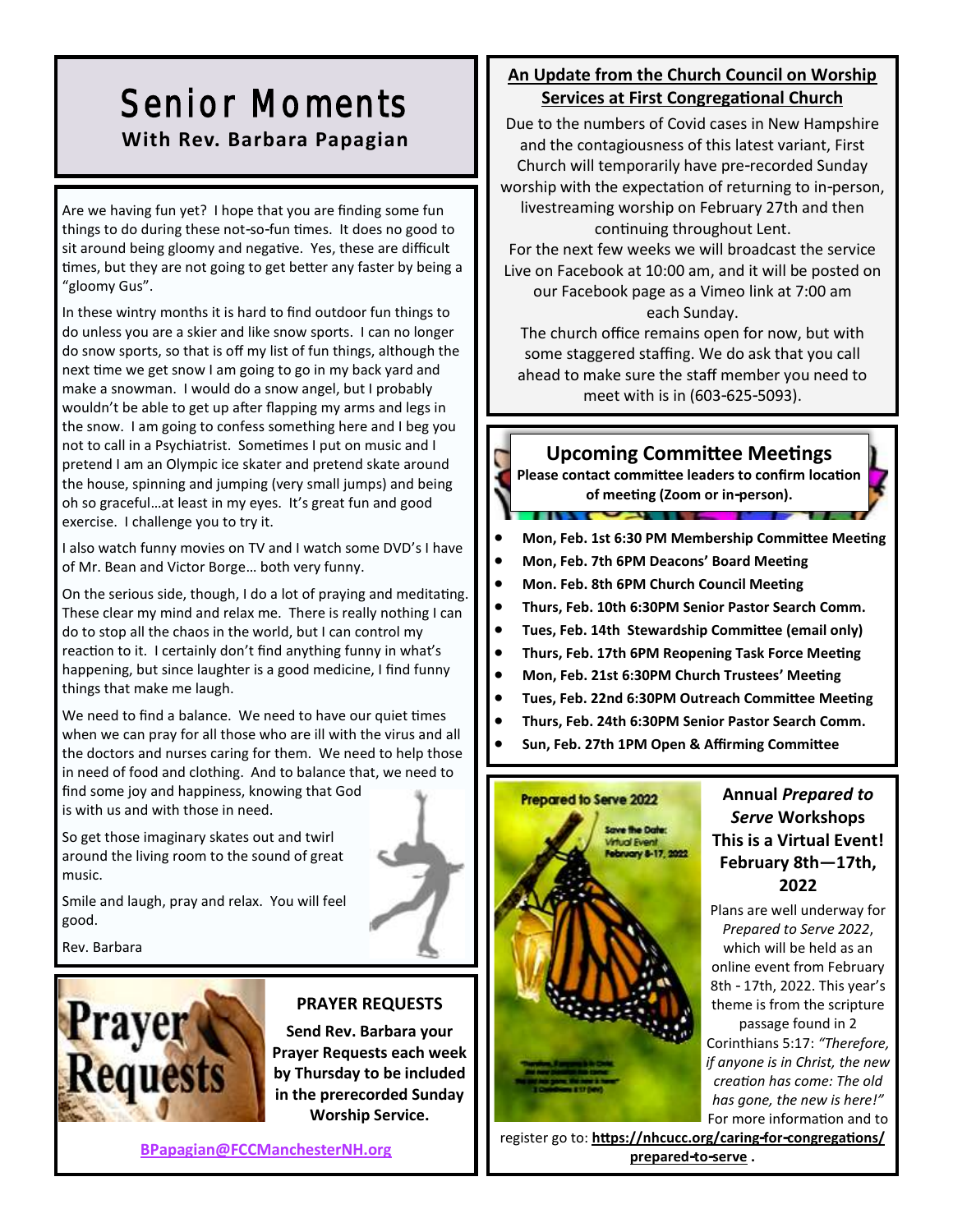# Senior Moments **With Rev. Barbara Papagian**

Are we having fun yet? I hope that you are finding some fun things to do during these not-so-fun times. It does no good to sit around being gloomy and negative. Yes, these are difficult times, but they are not going to get better any faster by being a "gloomy Gus".

In these wintry months it is hard to find outdoor fun things to do unless you are a skier and like snow sports. I can no longer do snow sports, so that is off my list of fun things, although the next time we get snow I am going to go in my back yard and make a snowman. I would do a snow angel, but I probably wouldn't be able to get up after flapping my arms and legs in the snow. I am going to confess something here and I beg you not to call in a Psychiatrist. Sometimes I put on music and I pretend I am an Olympic ice skater and pretend skate around the house, spinning and jumping (very small jumps) and being oh so graceful…at least in my eyes. It's great fun and good exercise. I challenge you to try it.

I also watch funny movies on TV and I watch some DVD's I have of Mr. Bean and Victor Borge… both very funny.

On the serious side, though, I do a lot of praying and meditating. These clear my mind and relax me. There is really nothing I can do to stop all the chaos in the world, but I can control my reaction to it. I certainly don't find anything funny in what's happening, but since laughter is a good medicine, I find funny things that make me laugh.

We need to find a balance. We need to have our quiet times when we can pray for all those who are ill with the virus and all the doctors and nurses caring for them. We need to help those in need of food and clothing. And to balance that, we need to find some joy and happiness, knowing that God is with us and with those in need.

So get those imaginary skates out and twirl around the living room to the sound of great music.

Smile and laugh, pray and relax. You will feel good.

Rev. Barbara



# **PRAYER REQUESTS**

**Send Rev. Barbara your Prayer Requests each week by Thursday to be included in the prerecorded Sunday Worship Service.**

**[BPapagian@FCCManchesterNH.org](mailto:BPapagian@FCCManchesterNH.org)**

# **An Update from the Church Council on Worship Services at First Congregational Church**

Due to the numbers of Covid cases in New Hampshire and the contagiousness of this latest variant, First Church will temporarily have pre-recorded Sunday worship with the expectation of returning to in-person, livestreaming worship on February 27th and then continuing throughout Lent.

For the next few weeks we will broadcast the service Live on Facebook at 10:00 am, and it will be posted on our Facebook page as a Vimeo link at 7:00 am each Sunday.

The church office remains open for now, but with some staggered staffing. We do ask that you call ahead to make sure the staff member you need to meet with is in (603-625-5093).

# **Upcoming Committee Meetings**

**Please contact committee leaders to confirm location of meeting (Zoom or in-person).**

- **Mon, Feb. 1st 6:30 PM Membership Committee Meeting**
- **Mon, Feb. 7th 6PM Deacons' Board Meeting**

 $\sim$ 

- **Mon. Feb. 8th 6PM Church Council Meeting**
- **Thurs, Feb. 10th 6:30PM Senior Pastor Search Comm.**
- **Tues, Feb. 14th Stewardship Committee (email only)**
- **Thurs, Feb. 17th 6PM Reopening Task Force Meeting**
- **Mon, Feb. 21st 6:30PM Church Trustees' Meeting**
- **Tues, Feb. 22nd 6:30PM Outreach Committee Meeting**
- **Thurs, Feb. 24th 6:30PM Senior Pastor Search Comm.**
- **Sun, Feb. 27th 1PM Open & Affirming Committee**



# **Annual** *Prepared to Serve* **Workshops This is a Virtual Event! February 8th—17th, 2022**

Plans are well underway for *Prepared to Serve 2022*, which will be held as an online event from February 8th - 17th, 2022. This year's theme is from the scripture passage found in 2 Corinthians 5:17: *"Therefore, if anyone is in Christ, the new creation has come: The old has gone, the new is here!"* For more information and to

register go to: **https://nhcucc.org/caring-for-congregations/ prepared-to-serve .**

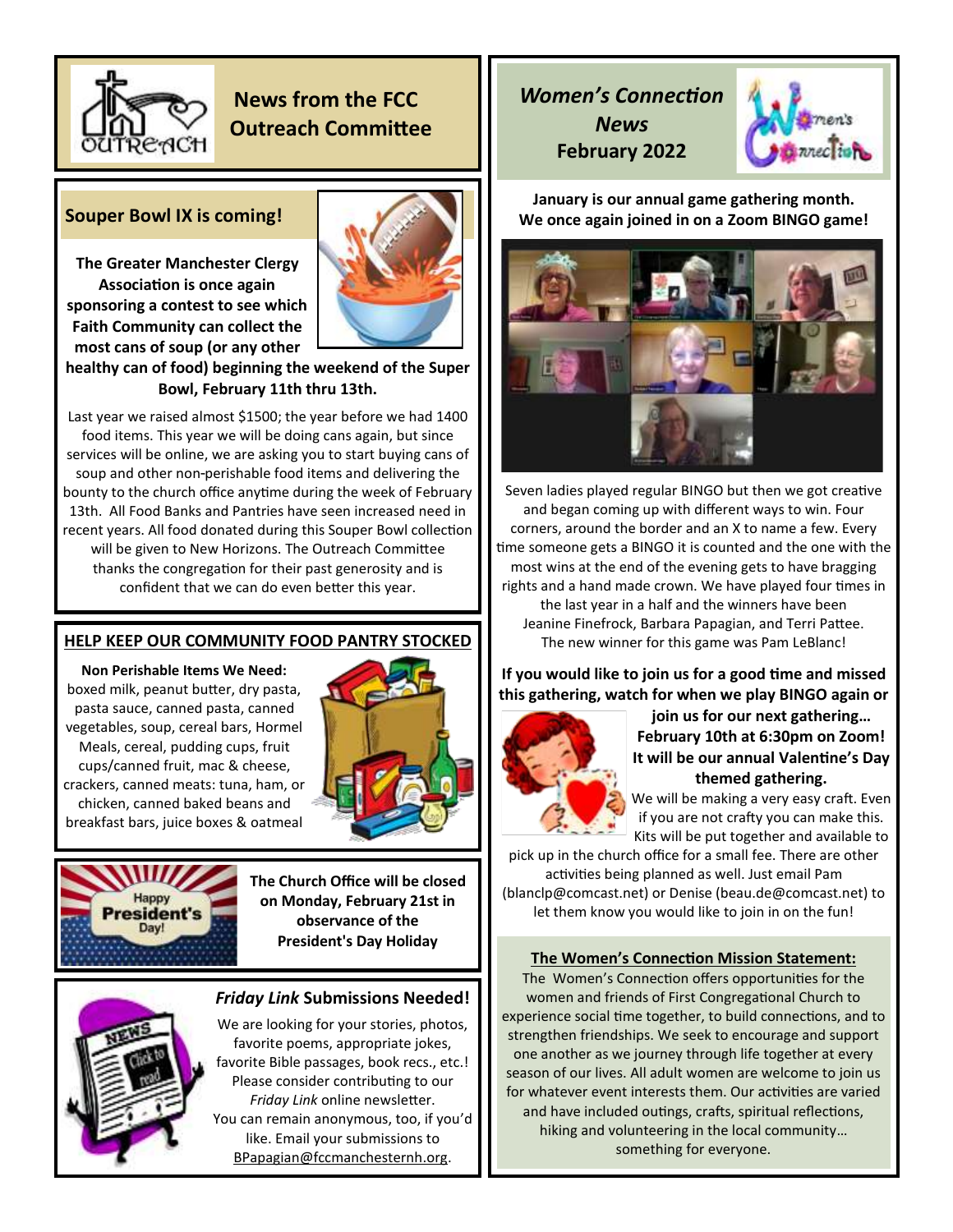

# **News from the FCC Outreach Committee**

# **Souper Bowl IX is coming!**

**The Greater Manchester Clergy Association is once again sponsoring a contest to see which Faith Community can collect the most cans of soup (or any other** 



# **healthy can of food) beginning the weekend of the Super Bowl, February 11th thru 13th.**

Last year we raised almost \$1500; the year before we had 1400 food items. This year we will be doing cans again, but since services will be online, we are asking you to start buying cans of soup and other non-perishable food items and delivering the bounty to the church office anytime during the week of February 13th. All Food Banks and Pantries have seen increased need in recent years. All food donated during this Souper Bowl collection will be given to New Horizons. The Outreach Committee thanks the congregation for their past generosity and is confident that we can do even better this year.

# **HELP KEEP OUR COMMUNITY FOOD PANTRY STOCKED**

**Non Perishable Items We Need:**  boxed milk, peanut butter, dry pasta, pasta sauce, canned pasta, canned vegetables, soup, cereal bars, Hormel Meals, cereal, pudding cups, fruit cups/canned fruit, mac & cheese, crackers, canned meats: tuna, ham, or chicken, canned baked beans and breakfast bars, juice boxes & oatmeal



Happy President's

**The Church Office will be closed on Monday, February 21st in observance of the President's Day Holiday**

# *Friday Link* **Submissions Needed!**

We are looking for your stories, photos, favorite poems, appropriate jokes, favorite Bible passages, book recs., etc.! Please consider contributing to our *Friday Link* online newsletter. You can remain anonymous, too, if you'd like. Email your submissions to BPapagian@fccmanchesternh.org.

# *Women's Connection News*  **February 2022**

ī



**January is our annual game gathering month. We once again joined in on a Zoom BINGO game!** 



Seven ladies played regular BINGO but then we got creative and began coming up with different ways to win. Four corners, around the border and an X to name a few. Every time someone gets a BINGO it is counted and the one with the most wins at the end of the evening gets to have bragging rights and a hand made crown. We have played four times in the last year in a half and the winners have been Jeanine Finefrock, Barbara Papagian, and Terri Pattee. The new winner for this game was Pam LeBlanc!

**If you would like to join us for a good time and missed this gathering, watch for when we play BINGO again or** 



**join us for our next gathering… February 10th at 6:30pm on Zoom! It will be our annual Valentine's Day themed gathering.** 

We will be making a very easy craft. Even if you are not crafty you can make this. Kits will be put together and available to

pick up in the church office for a small fee. There are other activities being planned as well. Just email Pam (blanclp@comcast.net) or Denise (beau.de@comcast.net) to let them know you would like to join in on the fun!

## **The Women's Connection Mission Statement:**

The Women's Connection offers opportunities for the women and friends of First Congregational Church to experience social time together, to build connections, and to strengthen friendships. We seek to encourage and support one another as we journey through life together at every season of our lives. All adult women are welcome to join us for whatever event interests them. Our activities are varied and have included outings, crafts, spiritual reflections, hiking and volunteering in the local community… something for everyone.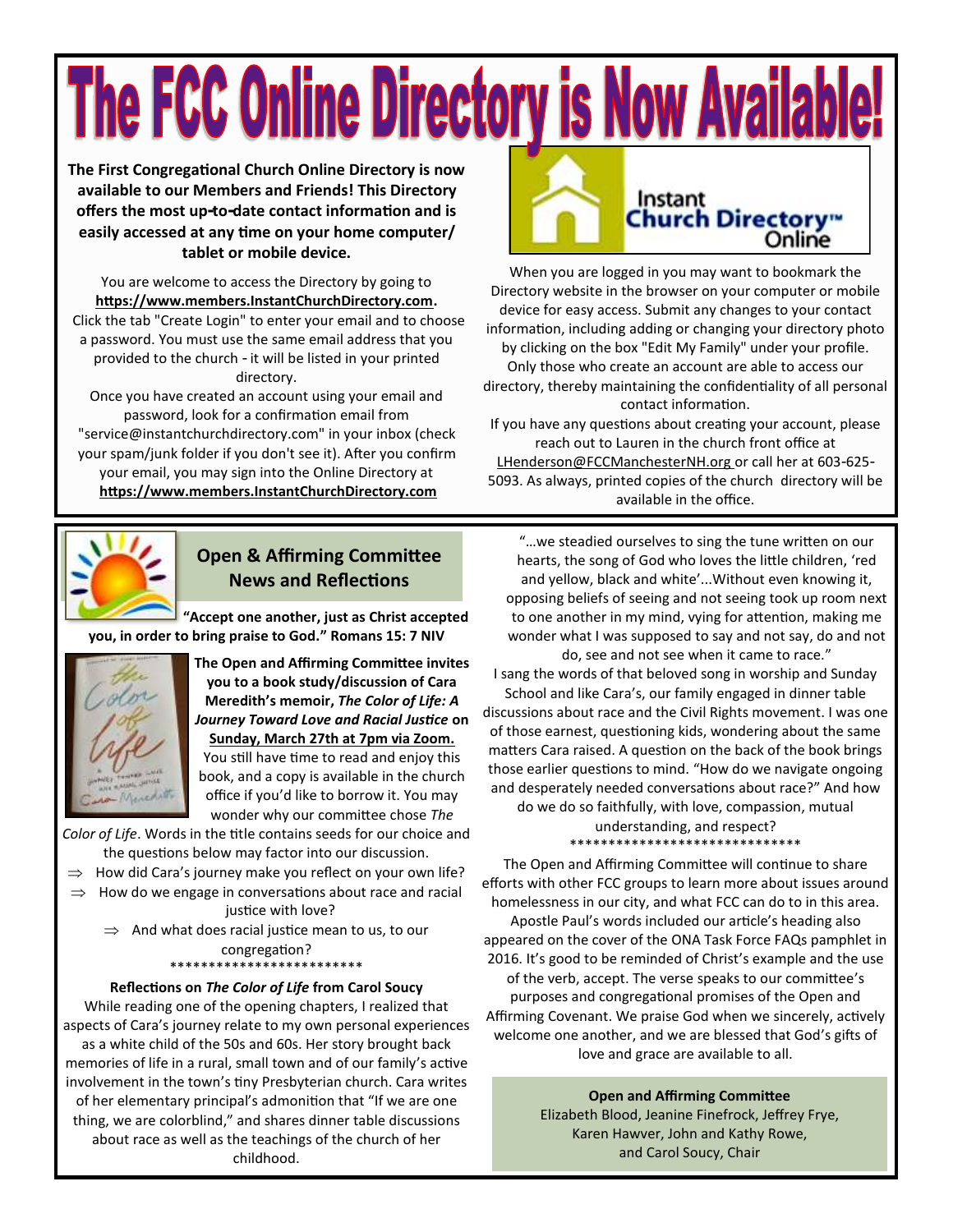# The FCC Online Directory is Now Available!

**The First Congregational Church Online Directory is now available to our Members and Friends! This Directory offers the most up-to-date contact information and is easily accessed at any time on your home computer/ tablet or mobile device.**

You are welcome to access the Directory by going to **https://www.members.InstantChurchDirectory.com.** Click the tab "Create Login" to enter your email and to choose a password. You must use the same email address that you provided to the church - it will be listed in your printed directory.

Once you have created an account using your email and password, look for a confirmation email from "service@instantchurchdirectory.com" in your inbox (check your spam/junk folder if you don't see it). After you confirm your email, you may sign into the Online Directory at **https://www.members.InstantChurchDirectory.com**



# **Open & Affirming Committee News and Reflections**

**"Accept one another, just as Christ accepted you, in order to bring praise to God." Romans 15: 7 NIV**



**The Open and Affirming Committee invites you to a book study/discussion of Cara Meredith's memoir,** *The Color of Life: A Journey Toward Love and Racial Justice* **on Sunday, March 27th at 7pm via Zoom.**

You still have time to read and enjoy this book, and a copy is available in the church office if you'd like to borrow it. You may wonder why our committee chose *The* 

*Color of Life*. Words in the title contains seeds for our choice and the questions below may factor into our discussion.

- $\Rightarrow$  How did Cara's journey make you reflect on your own life?
- $\Rightarrow$  How do we engage in conversations about race and racial justice with love?
	- $\Rightarrow$  And what does racial justice mean to us, to our congregation?

\*\*\*\*\*\*\*\*\*\*\*\*\*\*\*\*\*\*\*\*\*\*\*\*\* **Reflections on** *The Color of Life* **from Carol Soucy**

While reading one of the opening chapters, I realized that aspects of Cara's journey relate to my own personal experiences as a white child of the 50s and 60s. Her story brought back memories of life in a rural, small town and of our family's active involvement in the town's tiny Presbyterian church. Cara writes of her elementary principal's admonition that "If we are one thing, we are colorblind," and shares dinner table discussions about race as well as the teachings of the church of her childhood.



When you are logged in you may want to bookmark the [Directory website i](https://members.instantchurchdirectory.com/)n the browser on your computer or mobile device for easy access. Submit any changes to your contact information, including adding or changing your directory photo by clicking on the box "Edit My Family" under your profile. Only those who create an account are able to access our directory, thereby maintaining the confidentiality of all personal contact information.

If you have any questions about creating your account, please reach out to Lauren in the church front office at [LHenderson@FCCManchesterNH.org](mailto:lhenderson@fccmanchesternh.org) or call her at 603-625- 5093. As always, printed copies of the church directory will be available in the office.

"…we steadied ourselves to sing the tune written on our hearts, the song of God who loves the little children, 'red and yellow, black and white'...Without even knowing it, opposing beliefs of seeing and not seeing took up room next to one another in my mind, vying for attention, making me wonder what I was supposed to say and not say, do and not do, see and not see when it came to race."

I sang the words of that beloved song in worship and Sunday School and like Cara's, our family engaged in dinner table discussions about race and the Civil Rights movement. I was one of those earnest, questioning kids, wondering about the same matters Cara raised. A question on the back of the book brings those earlier questions to mind. "How do we navigate ongoing and desperately needed conversations about race?" And how do we do so faithfully, with love, compassion, mutual

> understanding, and respect? \*\*\*\*\*\*\*\*\*\*\*\*\*\*\*\*\*\*\*\*\*\*\*\*\*\*\*\*\*\*

The Open and Affirming Committee will continue to share efforts with other FCC groups to learn more about issues around homelessness in our city, and what FCC can do to in this area. Apostle Paul's words included our article's heading also appeared on the cover of the ONA Task Force FAQs pamphlet in 2016. It's good to be reminded of Christ's example and the use of the verb, accept. The verse speaks to our committee's purposes and congregational promises of the Open and Affirming Covenant. We praise God when we sincerely, actively welcome one another, and we are blessed that God's gifts of love and grace are available to all.

**Open and Affirming Committee**

Elizabeth Blood, Jeanine Finefrock, Jeffrey Frye, Karen Hawver, John and Kathy Rowe, and Carol Soucy, Chair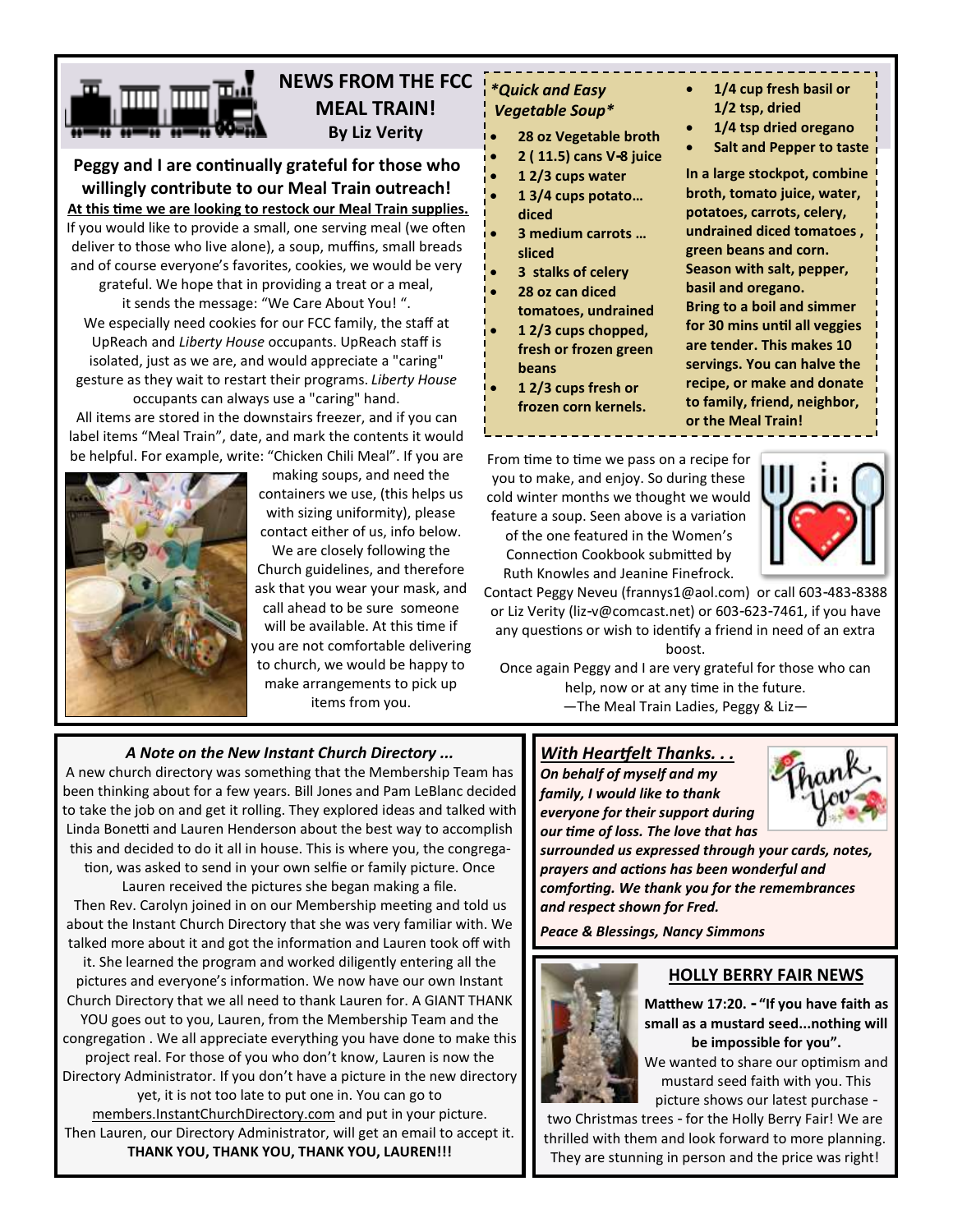# **NEWS FROM THE FCC MEAL TRAIN! By Liz Verity**

**Peggy and I are continually grateful for those who willingly contribute to our Meal Train outreach! At this time we are looking to restock our Meal Train supplies.**  If you would like to provide a small, one serving meal (we often deliver to those who live alone), a soup, muffins, small breads and of course everyone's favorites, cookies, we would be very grateful. We hope that in providing a treat or a meal, it sends the message: "We Care About You! ". We especially need cookies for our FCC family, the staff at UpReach and *Liberty House* occupants. UpReach staff is isolated, just as we are, and would appreciate a "caring" gesture as they wait to restart their programs. *Liberty House* 

occupants can always use a "caring" hand. All items are stored in the downstairs freezer, and if you can label items "Meal Train", date, and mark the contents it would



making soups, and need the containers we use, (this helps us with sizing uniformity), please contact either of us, info below.

We are closely following the Church guidelines, and therefore ask that you wear your mask, and call ahead to be sure someone will be available. At this time if you are not comfortable delivering to church, we would be happy to make arrangements to pick up items from you.

## *\*Quick and Easy Vegetable Soup\**

- **28 oz Vegetable broth**
- **2 ( 11.5) cans V-8 juice**
- **1 2/3 cups water**
- **1 3/4 cups potato… diced**
- **3 medium carrots … sliced**
- **3 stalks of celery**
- **28 oz can diced tomatoes, undrained**
- **1 2/3 cups chopped, fresh or frozen green beans**
- **1 2/3 cups fresh or frozen corn kernels.**
- **1/4 cup fresh basil or 1/2 tsp, dried**
- **1/4 tsp dried oregano**
- **Salt and Pepper to taste**

**In a large stockpot, combine broth, tomato juice, water, potatoes, carrots, celery, undrained diced tomatoes , green beans and corn. Season with salt, pepper, basil and oregano. Bring to a boil and simmer for 30 mins until all veggies are tender. This makes 10 servings. You can halve the recipe, or make and donate** 

**to family, friend, neighbor, or the Meal Train!**

From time to time we pass on a recipe for you to make, and enjoy. So during these cold winter months we thought we would feature a soup. Seen above is a variation

of the one featured in the Women's Connection Cookbook submitted by Ruth Knowles and Jeanine Finefrock.



Contact Peggy Neveu [\(frannys1@aol.com\)](mailto:frannys1@aol.com) or call 603-483-8388 or Liz Verity (l[iz-v@comcast.net\)](mailto:liz-v@comcast.net) or 603-623-7461, if you have any questions or wish to identify a friend in need of an extra boost.

Once again Peggy and I are very grateful for those who can help, now or at any time in the future. —The Meal Train Ladies, Peggy & Liz—

# *A Note on the New Instant Church Directory ...*

A new church directory was something that the Membership Team has been thinking about for a few years. Bill Jones and Pam LeBlanc decided to take the job on and get it rolling. They explored ideas and talked with Linda Bonetti and Lauren Henderson about the best way to accomplish this and decided to do it all in house. This is where you, the congregation, was asked to send in your own selfie or family picture. Once

Lauren received the pictures she began making a file. Then Rev. Carolyn joined in on our Membership meeting and told us about the Instant Church Directory that she was very familiar with. We talked more about it and got the information and Lauren took off with

it. She learned the program and worked diligently entering all the pictures and everyone's information. We now have our own Instant

Church Directory that we all need to thank Lauren for. A GIANT THANK YOU goes out to you, Lauren, from the Membership Team and the congregation . We all appreciate everything you have done to make this project real. For those of you who don't know, Lauren is now the Directory Administrator. If you don't have a picture in the new directory yet, it is not too late to put one in. You can go to

members.InstantChurchDirectory.com and put in your picture. Then Lauren, our Directory Administrator, will get an email to accept it. **THANK YOU, THANK YOU, THANK YOU, LAUREN!!!**

# *With Heartfelt Thanks. . .*

*On behalf of myself and my family, I would like to thank everyone for their support during our time of loss. The love that has* 



*surrounded us expressed through your cards, notes, prayers and actions has been wonderful and comforting. We thank you for the remembrances and respect shown for Fred.*

*Peace & Blessings, Nancy Simmons*



# **HOLLY BERRY FAIR NEWS**

**Matthew 17:20. - "If you have faith as small as a mustard seed...nothing will be impossible for you".** 

We wanted to share our optimism and mustard seed faith with you. This picture shows our latest purchase -

two Christmas trees - for the Holly Berry Fair! We are thrilled with them and look forward to more planning. They are stunning in person and the price was right!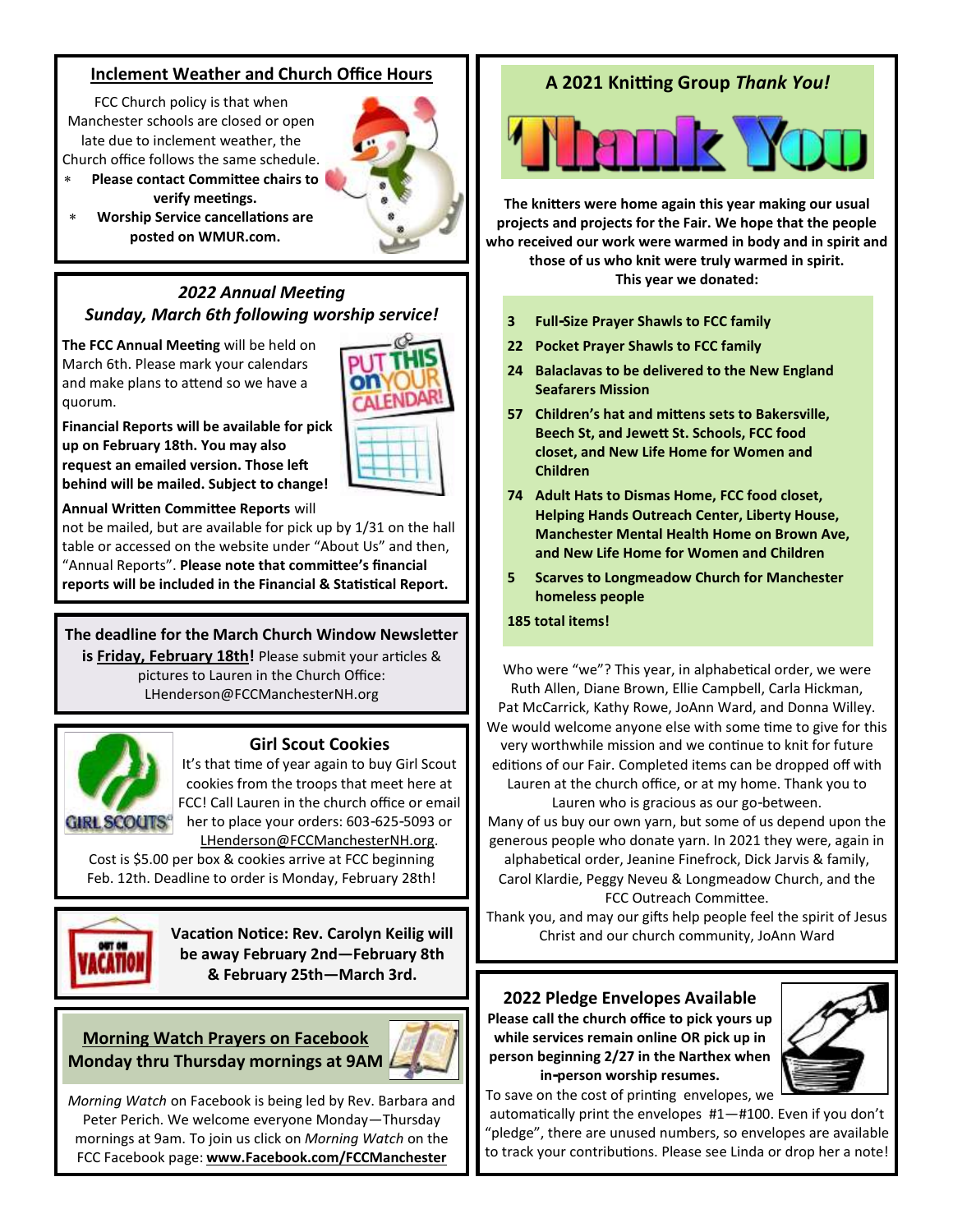# **Inclement Weather and Church Office Hours**

FCC Church policy is that when Manchester schools are closed or open late due to inclement weather, the Church office follows the same schedule.

- **Please contact Committee chairs to verify meetings.**
- **Worship Service cancellations are posted on WMUR.com.**

## *2022 Annual Meeting Sunday, March 6th following worship service!*

**The FCC Annual Meeting** will be held on March 6th. Please mark your calendars and make plans to attend so we have a quorum.



**Financial Reports will be available for pick up on February 18th. You may also request an emailed version. Those left behind will be mailed. Subject to change!**

### **Annual Written Committee Reports** will

not be mailed, but are available for pick up by 1/31 on the hall table or accessed on the website under "About Us" and then, "Annual Reports". **Please note that committee's financial reports will be included in the Financial & Statistical Report.**

**The deadline for the March Church Window Newsletter is Friday, February 18th!** Please submit your articles & pictures to Lauren in the Church Office: LHenderson@FCCManchesterNH.org



## **Girl Scout Cookies**

It's that time of year again to buy Girl Scout cookies from the troops that meet here at FCC! Call Lauren in the church office or email her to place your orders: 603-625-5093 or LHenderson@FCCManchesterNH.org.

Cost is \$5.00 per box & cookies arrive at FCC beginning Feb. 12th. Deadline to order is Monday, February 28th!



**Vacation Notice: Rev. Carolyn Keilig will be away February 2nd—February 8th & February 25th—March 3rd.**

**Morning Watch Prayers on Facebook Monday thru Thursday mornings at 9AM**



*Morning Watch* on Facebook is being led by Rev. Barbara and Peter Perich. We welcome everyone Monday—Thursday mornings at 9am. To join us click on *Morning Watch* on the FCC Facebook page: **www.Facebook.com/FCCManchester**

# **A 2021 Knitting Group** *Thank You!*



**The knitters were home again this year making our usual projects and projects for the Fair. We hope that the people who received our work were warmed in body and in spirit and** 

> **those of us who knit were truly warmed in spirit. This year we donated:**

- **3 Full-Size Prayer Shawls to FCC family**
- **22 Pocket Prayer Shawls to FCC family**
- **24 Balaclavas to be delivered to the New England Seafarers Mission**
- **57 Children's hat and mittens sets to Bakersville, Beech St, and Jewett St. Schools, FCC food closet, and New Life Home for Women and Children**
- **74 Adult Hats to Dismas Home, FCC food closet, Helping Hands Outreach Center, Liberty House, Manchester Mental Health Home on Brown Ave, and New Life Home for Women and Children**
- **5 Scarves to Longmeadow Church for Manchester homeless people**

### **185 total items!**

Who were "we"? This year, in alphabetical order, we were Ruth Allen, Diane Brown, Ellie Campbell, Carla Hickman, Pat McCarrick, Kathy Rowe, JoAnn Ward, and Donna Willey. We would welcome anyone else with some time to give for this very worthwhile mission and we continue to knit for future editions of our Fair. Completed items can be dropped off with Lauren at the church office, or at my home. Thank you to Lauren who is gracious as our go-between. Many of us buy our own yarn, but some of us depend upon the

generous people who donate yarn. In 2021 they were, again in alphabetical order, Jeanine Finefrock, Dick Jarvis & family,

Carol Klardie, Peggy Neveu & Longmeadow Church, and the FCC Outreach Committee.

Thank you, and may our gifts help people feel the spirit of Jesus Christ and our church community, JoAnn Ward

**2022 Pledge Envelopes Available Please call the church office to pick yours up while services remain online OR pick up in person beginning 2/27 in the Narthex when in-person worship resumes.**



To save on the cost of printing envelopes, we

automatically print the envelopes #1—#100. Even if you don't "pledge", there are unused numbers, so envelopes are available to track your contributions. Please see Linda or drop her a note!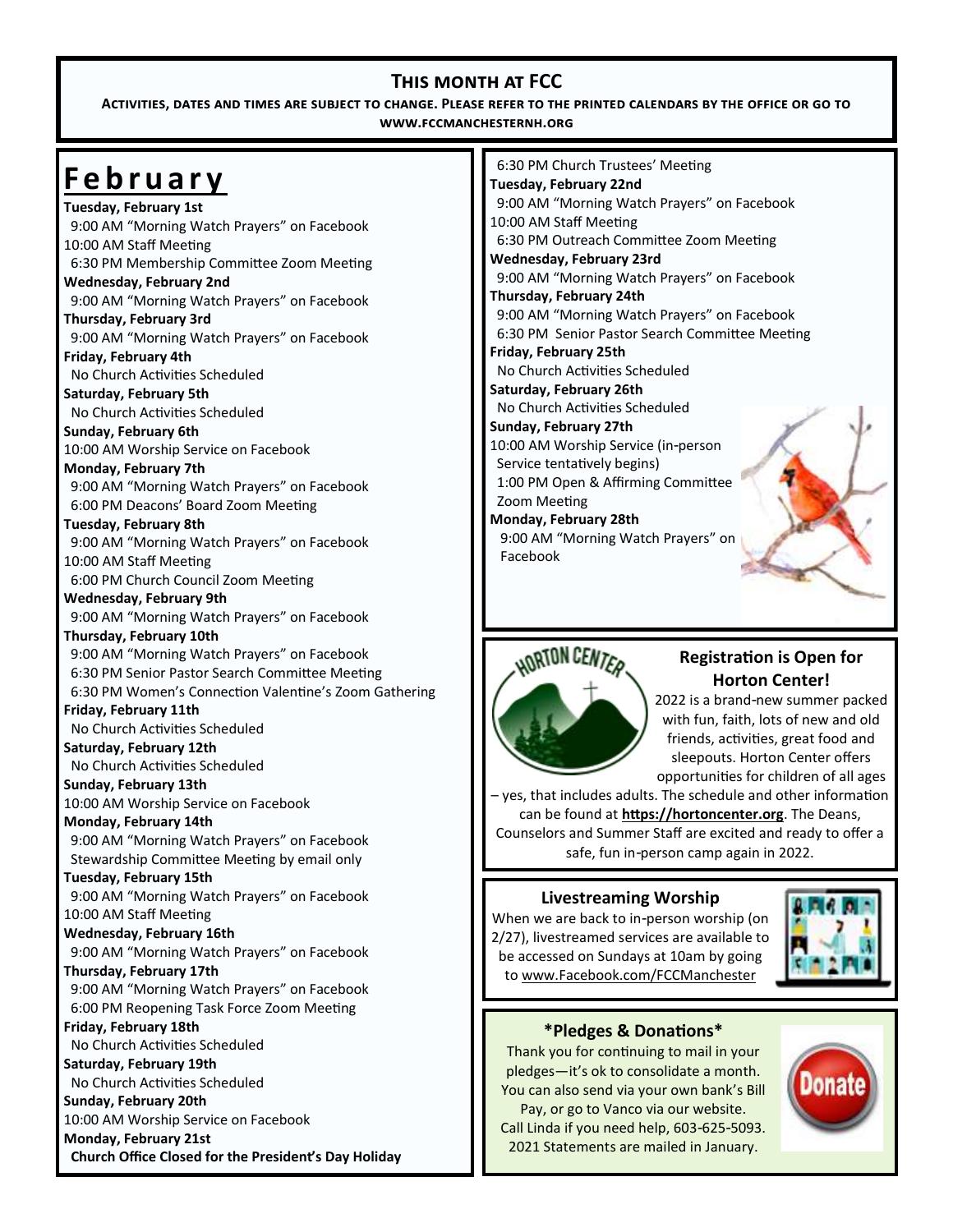# **This month at FCC**

**Activities, dates and times are subject to change. Please refer to the printed calendars by the office or go to www.fccmanchesternh.org**

# **F e b r u a r y**

**Tuesday, February 1st** 9:00 AM "Morning Watch Prayers" on Facebook 10:00 AM Staff Meeting 6:30 PM Membership Committee Zoom Meeting **Wednesday, February 2nd**

9:00 AM "Morning Watch Prayers" on Facebook **Thursday, February 3rd**

 9:00 AM "Morning Watch Prayers" on Facebook **Friday, February 4th** 

No Church Activities Scheduled

**Saturday, February 5th** No Church Activities Scheduled

**Sunday, February 6th** 10:00 AM Worship Service on Facebook

**Monday, February 7th** 9:00 AM "Morning Watch Prayers" on Facebook 6:00 PM Deacons' Board Zoom Meeting

**Tuesday, February 8th** 9:00 AM "Morning Watch Prayers" on Facebook 10:00 AM Staff Meeting

6:00 PM Church Council Zoom Meeting

**Wednesday, February 9th** 9:00 AM "Morning Watch Prayers" on Facebook

# **Thursday, February 10th**

9:00 AM "Morning Watch Prayers" on Facebook 6:30 PM Senior Pastor Search Committee Meeting 6:30 PM Women's Connection Valentine's Zoom Gathering

## **Friday, February 11th**

No Church Activities Scheduled

# **Saturday, February 12th**

No Church Activities Scheduled

**Sunday, February 13th**

10:00 AM Worship Service on Facebook

# **Monday, February 14th**

 9:00 AM "Morning Watch Prayers" on Facebook Stewardship Committee Meeting by email only

# **Tuesday, February 15th**

 9:00 AM "Morning Watch Prayers" on Facebook 10:00 AM Staff Meeting

# **Wednesday, February 16th**

9:00 AM "Morning Watch Prayers" on Facebook

# **Thursday, February 17th**

 9:00 AM "Morning Watch Prayers" on Facebook 6:00 PM Reopening Task Force Zoom Meeting

# **Friday, February 18th**

No Church Activities Scheduled

**Saturday, February 19th** No Church Activities Scheduled

# **Sunday, February 20th**

10:00 AM Worship Service on Facebook

**Monday, February 21st Church Office Closed for the President's Day Holiday**

 6:30 PM Church Trustees' Meeting **Tuesday, February 22nd** 9:00 AM "Morning Watch Prayers" on Facebook 10:00 AM Staff Meeting 6:30 PM Outreach Committee Zoom Meeting **Wednesday, February 23rd** 9:00 AM "Morning Watch Prayers" on Facebook **Thursday, February 24th** 9:00 AM "Morning Watch Prayers" on Facebook 6:30 PM Senior Pastor Search Committee Meeting **Friday, February 25th** No Church Activities Scheduled **Saturday, February 26th** No Church Activities Scheduled **Sunday, February 27th** 10:00 AM Worship Service (in-person Service tentatively begins) 1:00 PM Open & Affirming Committee Zoom Meeting **Monday, February 28th** 9:00 AM "Morning Watch Prayers" on Facebook

# NORTON CENTER

# **Registration is Open for Horton Center!**

2022 is a brand-new summer packed with fun, faith, lots of new and old friends, activities, great food and sleepouts. Horton Center offers opportunities for children of all ages

– yes, that includes adults. The schedule and other information can be found at **[https://hortoncenter.org](https://r20.rs6.net/tn.jsp?f=001_WGVFLLrMCw_PHFcJWEAzXEEyuqGLIsy71Dx1KF5mQWUpvHQK2AIKIDiMTOaRRzhy1uGooLplkz8JeqIErk2IOyIujLdEwnGJsi5_muIHt0O7iqdDY1qBxOAEzRFlS3GAf2D6EPQkPAC5AOWbxMH4Hp4tXEcQGKi_3N2d-OWNGSaXOJhrJtfjA==&c=glAcJhDzwsiocnImBWfDVmv0A98yJOlhzlt9UFH8)**. The Deans, Counselors and Summer Staff are excited and ready to offer a safe, fun in-person camp again in 2022.

# **Livestreaming Worship**

When we are back to in-person worship (on 2/27), livestreamed services are available to be accessed on Sundays at 10am by going to www.Facebook.com/FCCManchester



# **\*Pledges & Donations\***

Thank you for continuing to mail in your pledges—it's ok to consolidate a month. You can also send via your own bank's Bill Pay, or go to Vanco via our website. Call Linda if you need help, 603-625-5093. 2021 Statements are mailed in January.